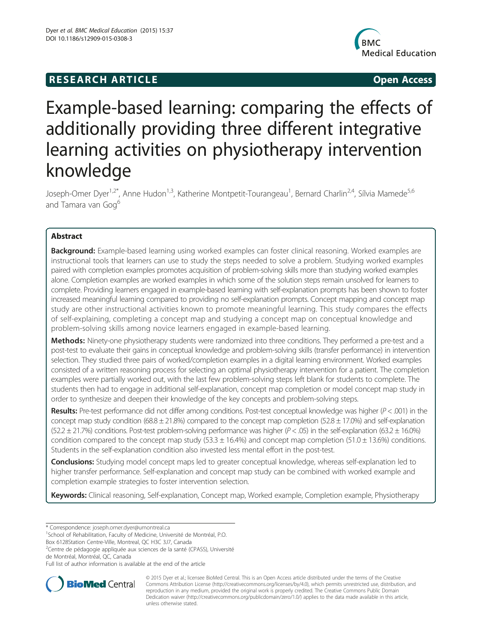# **RESEARCH ARTICLE Example 2018 12:00 Open Access**



# Example-based learning: comparing the effects of additionally providing three different integrative learning activities on physiotherapy intervention knowledge

Joseph-Omer Dyer<sup>1,2\*</sup>, Anne Hudon<sup>1,3</sup>, Katherine Montpetit-Tourangeau<sup>1</sup>, Bernard Charlin<sup>2,4</sup>, Sílvia Mamede<sup>5,6</sup> and Tamara van Gog<sup>6</sup>

# Abstract

Background: Example-based learning using worked examples can foster clinical reasoning. Worked examples are instructional tools that learners can use to study the steps needed to solve a problem. Studying worked examples paired with completion examples promotes acquisition of problem-solving skills more than studying worked examples alone. Completion examples are worked examples in which some of the solution steps remain unsolved for learners to complete. Providing learners engaged in example-based learning with self-explanation prompts has been shown to foster increased meaningful learning compared to providing no self-explanation prompts. Concept mapping and concept map study are other instructional activities known to promote meaningful learning. This study compares the effects of self-explaining, completing a concept map and studying a concept map on conceptual knowledge and problem-solving skills among novice learners engaged in example-based learning.

Methods: Ninety-one physiotherapy students were randomized into three conditions. They performed a pre-test and a post-test to evaluate their gains in conceptual knowledge and problem-solving skills (transfer performance) in intervention selection. They studied three pairs of worked/completion examples in a digital learning environment. Worked examples consisted of a written reasoning process for selecting an optimal physiotherapy intervention for a patient. The completion examples were partially worked out, with the last few problem-solving steps left blank for students to complete. The students then had to engage in additional self-explanation, concept map completion or model concept map study in order to synthesize and deepen their knowledge of the key concepts and problem-solving steps.

Results: Pre-test performance did not differ among conditions. Post-test conceptual knowledge was higher ( $P < .001$ ) in the concept map study condition (68.8  $\pm$  21.8%) compared to the concept map completion (52.8  $\pm$  17.0%) and self-explanation  $(52.2 \pm 21.7%)$  conditions. Post-test problem-solving performance was higher (P < .05) in the self-explanation (63.2  $\pm$  16.0%) condition compared to the concept map study (53.3  $\pm$  16.4%) and concept map completion (51.0  $\pm$  13.6%) conditions. Students in the self-explanation condition also invested less mental effort in the post-test.

**Conclusions:** Studying model concept maps led to greater conceptual knowledge, whereas self-explanation led to higher transfer performance. Self-explanation and concept map study can be combined with worked example and completion example strategies to foster intervention selection.

Keywords: Clinical reasoning, Self-explanation, Concept map, Worked example, Completion example, Physiotherapy

Box 6128Station Centre-Ville, Montreal, QC H3C 3J7, Canada

<sup>2</sup>Centre de pédagogie appliquée aux sciences de la santé (CPASS), Université de Montréal, Montréal, QC, Canada

Full list of author information is available at the end of the article



© 2015 Dyer et al.; licensee BioMed Central. This is an Open Access article distributed under the terms of the Creative Commons Attribution License [\(http://creativecommons.org/licenses/by/4.0\)](http://creativecommons.org/licenses/by/4.0), which permits unrestricted use, distribution, and reproduction in any medium, provided the original work is properly credited. The Creative Commons Public Domain Dedication waiver [\(http://creativecommons.org/publicdomain/zero/1.0/](http://creativecommons.org/publicdomain/zero/1.0/)) applies to the data made available in this article, unless otherwise stated.

<sup>\*</sup> Correspondence: [joseph.omer.dyer@umontreal.ca](mailto:joseph.omer.dyer@umontreal.ca) <sup>1</sup>

<sup>&</sup>lt;sup>1</sup> School of Rehabilitation, Faculty of Medicine, Université de Montréal, P.O.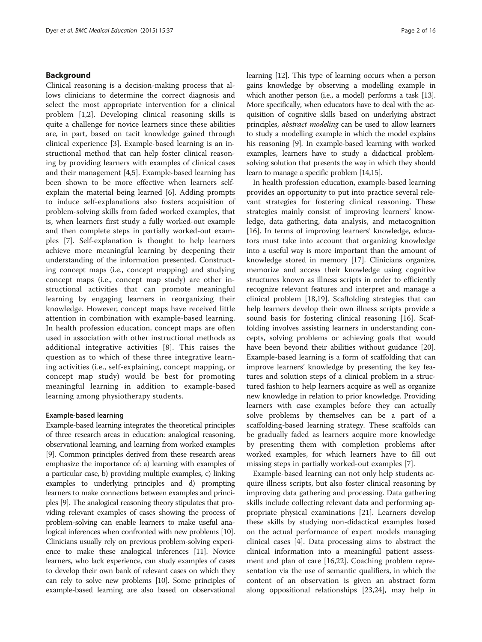# Background

Clinical reasoning is a decision-making process that allows clinicians to determine the correct diagnosis and select the most appropriate intervention for a clinical problem [\[1](#page-13-0),[2](#page-13-0)]. Developing clinical reasoning skills is quite a challenge for novice learners since these abilities are, in part, based on tacit knowledge gained through clinical experience [[3\]](#page-13-0). Example-based learning is an instructional method that can help foster clinical reasoning by providing learners with examples of clinical cases and their management [[4,5\]](#page-13-0). Example-based learning has been shown to be more effective when learners selfexplain the material being learned [[6\]](#page-13-0). Adding prompts to induce self-explanations also fosters acquisition of problem-solving skills from faded worked examples, that is, when learners first study a fully worked-out example and then complete steps in partially worked-out examples [[7\]](#page-13-0). Self-explanation is thought to help learners achieve more meaningful learning by deepening their understanding of the information presented. Constructing concept maps (i.e., concept mapping) and studying concept maps (i.e., concept map study) are other instructional activities that can promote meaningful learning by engaging learners in reorganizing their knowledge. However, concept maps have received little attention in combination with example-based learning. In health profession education, concept maps are often used in association with other instructional methods as additional integrative activities [\[8\]](#page-13-0). This raises the question as to which of these three integrative learning activities (i.e., self-explaining, concept mapping, or concept map study) would be best for promoting meaningful learning in addition to example-based learning among physiotherapy students.

# Example-based learning

Example-based learning integrates the theoretical principles of three research areas in education: analogical reasoning, observational learning, and learning from worked examples [[9](#page-13-0)]. Common principles derived from these research areas emphasize the importance of: a) learning with examples of a particular case, b) providing multiple examples, c) linking examples to underlying principles and d) prompting learners to make connections between examples and principles [\[9](#page-13-0)]. The analogical reasoning theory stipulates that providing relevant examples of cases showing the process of problem-solving can enable learners to make useful analogical inferences when confronted with new problems [\[10](#page-13-0)]. Clinicians usually rely on previous problem-solving experience to make these analogical inferences [\[11\]](#page-13-0). Novice learners, who lack experience, can study examples of cases to develop their own bank of relevant cases on which they can rely to solve new problems [\[10](#page-13-0)]. Some principles of example-based learning are also based on observational learning [\[12\]](#page-13-0). This type of learning occurs when a person gains knowledge by observing a modelling example in which another person (i.e., a model) performs a task [\[13](#page-13-0)]. More specifically, when educators have to deal with the acquisition of cognitive skills based on underlying abstract principles, *abstract modeling* can be used to allow learners to study a modelling example in which the model explains his reasoning [[9](#page-13-0)]. In example-based learning with worked examples, learners have to study a didactical problemsolving solution that presents the way in which they should learn to manage a specific problem [\[14,15\]](#page-13-0).

In health profession education, example-based learning provides an opportunity to put into practice several relevant strategies for fostering clinical reasoning. These strategies mainly consist of improving learners' knowledge, data gathering, data analysis, and metacognition [[16\]](#page-13-0). In terms of improving learners' knowledge, educators must take into account that organizing knowledge into a useful way is more important than the amount of knowledge stored in memory [\[17\]](#page-13-0). Clinicians organize, memorize and access their knowledge using cognitive structures known as illness scripts in order to efficiently recognize relevant features and interpret and manage a clinical problem [[18,19\]](#page-13-0). Scaffolding strategies that can help learners develop their own illness scripts provide a sound basis for fostering clinical reasoning [\[16\]](#page-13-0). Scaffolding involves assisting learners in understanding concepts, solving problems or achieving goals that would have been beyond their abilities without guidance [\[20](#page-13-0)]. Example-based learning is a form of scaffolding that can improve learners' knowledge by presenting the key features and solution steps of a clinical problem in a structured fashion to help learners acquire as well as organize new knowledge in relation to prior knowledge. Providing learners with case examples before they can actually solve problems by themselves can be a part of a scaffolding-based learning strategy. These scaffolds can be gradually faded as learners acquire more knowledge by presenting them with completion problems after worked examples, for which learners have to fill out missing steps in partially worked-out examples [[7\]](#page-13-0).

Example-based learning can not only help students acquire illness scripts, but also foster clinical reasoning by improving data gathering and processing. Data gathering skills include collecting relevant data and performing appropriate physical examinations [[21\]](#page-13-0). Learners develop these skills by studying non-didactical examples based on the actual performance of expert models managing clinical cases [[4\]](#page-13-0). Data processing aims to abstract the clinical information into a meaningful patient assessment and plan of care [[16](#page-13-0),[22](#page-13-0)]. Coaching problem representation via the use of semantic qualifiers, in which the content of an observation is given an abstract form along oppositional relationships [[23](#page-13-0),[24](#page-13-0)], may help in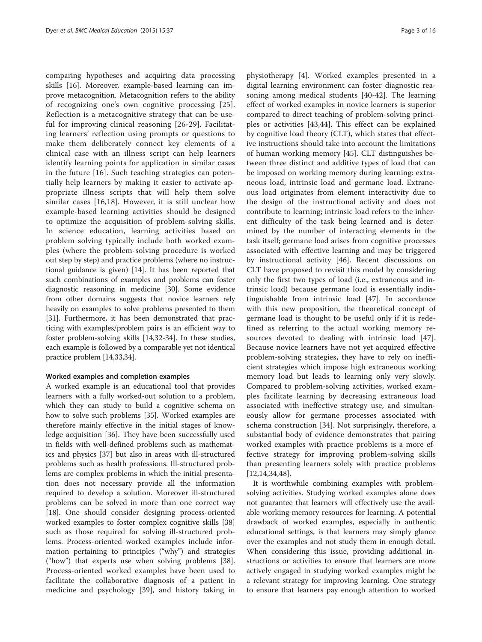comparing hypotheses and acquiring data processing skills [\[16](#page-13-0)]. Moreover, example-based learning can improve metacognition. Metacognition refers to the ability of recognizing one's own cognitive processing [[25](#page-13-0)]. Reflection is a metacognitive strategy that can be useful for improving clinical reasoning [\[26-29](#page-13-0)]. Facilitating learners' reflection using prompts or questions to make them deliberately connect key elements of a clinical case with an illness script can help learners identify learning points for application in similar cases in the future [[16](#page-13-0)]. Such teaching strategies can potentially help learners by making it easier to activate appropriate illness scripts that will help them solve similar cases [\[16,18](#page-13-0)]. However, it is still unclear how example-based learning activities should be designed to optimize the acquisition of problem-solving skills. In science education, learning activities based on problem solving typically include both worked examples (where the problem-solving procedure is worked out step by step) and practice problems (where no instructional guidance is given) [[14](#page-13-0)]. It has been reported that such combinations of examples and problems can foster diagnostic reasoning in medicine [[30](#page-13-0)]. Some evidence from other domains suggests that novice learners rely heavily on examples to solve problems presented to them [[31](#page-13-0)]. Furthermore, it has been demonstrated that practicing with examples/problem pairs is an efficient way to foster problem-solving skills [\[14,32-34\]](#page-13-0). In these studies, each example is followed by a comparable yet not identical practice problem [\[14,33,34\]](#page-13-0).

## Worked examples and completion examples

A worked example is an educational tool that provides learners with a fully worked-out solution to a problem, which they can study to build a cognitive schema on how to solve such problems [[35\]](#page-13-0). Worked examples are therefore mainly effective in the initial stages of knowledge acquisition [[36\]](#page-13-0). They have been successfully used in fields with well-defined problems such as mathematics and physics [\[37\]](#page-13-0) but also in areas with ill-structured problems such as health professions. Ill-structured problems are complex problems in which the initial presentation does not necessary provide all the information required to develop a solution. Moreover ill-structured problems can be solved in more than one correct way [[18\]](#page-13-0). One should consider designing process-oriented worked examples to foster complex cognitive skills [[38](#page-13-0)] such as those required for solving ill-structured problems. Process-oriented worked examples include information pertaining to principles ("why") and strategies ("how") that experts use when solving problems [\[38](#page-13-0)]. Process-oriented worked examples have been used to facilitate the collaborative diagnosis of a patient in medicine and psychology [\[39](#page-13-0)], and history taking in

physiotherapy [\[4](#page-13-0)]. Worked examples presented in a digital learning environment can foster diagnostic reasoning among medical students [[40-42\]](#page-13-0). The learning effect of worked examples in novice learners is superior compared to direct teaching of problem-solving principles or activities [\[43,44](#page-13-0)]. This effect can be explained by cognitive load theory (CLT), which states that effective instructions should take into account the limitations of human working memory [[45\]](#page-13-0). CLT distinguishes between three distinct and additive types of load that can be imposed on working memory during learning: extraneous load, intrinsic load and germane load. Extraneous load originates from element interactivity due to the design of the instructional activity and does not contribute to learning; intrinsic load refers to the inherent difficulty of the task being learned and is determined by the number of interacting elements in the task itself; germane load arises from cognitive processes associated with effective learning and may be triggered by instructional activity [[46\]](#page-13-0). Recent discussions on CLT have proposed to revisit this model by considering only the first two types of load (i.e., extraneous and intrinsic load) because germane load is essentially indistinguishable from intrinsic load [\[47](#page-13-0)]. In accordance with this new proposition, the theoretical concept of germane load is thought to be useful only if it is redefined as referring to the actual working memory resources devoted to dealing with intrinsic load [\[47](#page-13-0)]. Because novice learners have not yet acquired effective problem-solving strategies, they have to rely on inefficient strategies which impose high extraneous working memory load but leads to learning only very slowly. Compared to problem-solving activities, worked examples facilitate learning by decreasing extraneous load associated with ineffective strategy use, and simultaneously allow for germane processes associated with schema construction [\[34](#page-13-0)]. Not surprisingly, therefore, a substantial body of evidence demonstrates that pairing worked examples with practice problems is a more effective strategy for improving problem-solving skills than presenting learners solely with practice problems [[12,14](#page-13-0),[34,48\]](#page-13-0).

It is worthwhile combining examples with problemsolving activities. Studying worked examples alone does not guarantee that learners will effectively use the available working memory resources for learning. A potential drawback of worked examples, especially in authentic educational settings, is that learners may simply glance over the examples and not study them in enough detail. When considering this issue, providing additional instructions or activities to ensure that learners are more actively engaged in studying worked examples might be a relevant strategy for improving learning. One strategy to ensure that learners pay enough attention to worked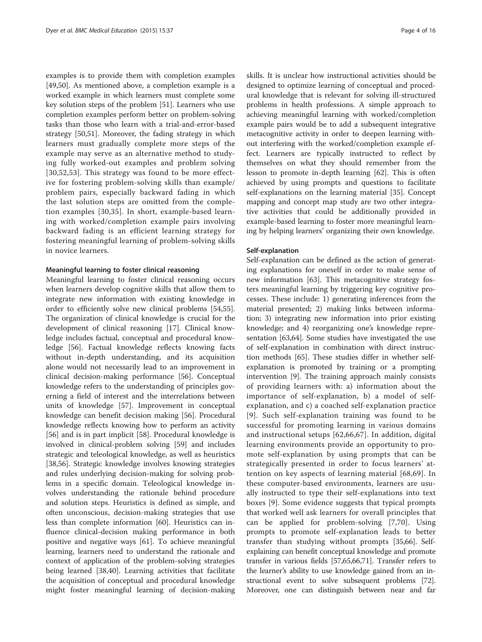examples is to provide them with completion examples [[49,50\]](#page-13-0). As mentioned above, a completion example is a worked example in which learners must complete some key solution steps of the problem [\[51](#page-13-0)]. Learners who use completion examples perform better on problem-solving tasks than those who learn with a trial-and-error-based strategy [[50](#page-13-0),[51](#page-13-0)]. Moreover, the fading strategy in which learners must gradually complete more steps of the example may serve as an alternative method to studying fully worked-out examples and problem solving [[30](#page-13-0),[52,53](#page-14-0)]. This strategy was found to be more effective for fostering problem-solving skills than example/ problem pairs, especially backward fading in which the last solution steps are omitted from the completion examples [\[30,35](#page-13-0)]. In short, example-based learning with worked/completion example pairs involving backward fading is an efficient learning strategy for fostering meaningful learning of problem-solving skills in novice learners.

## Meaningful learning to foster clinical reasoning

Meaningful learning to foster clinical reasoning occurs when learners develop cognitive skills that allow them to integrate new information with existing knowledge in order to efficiently solve new clinical problems [\[54,55](#page-14-0)]. The organization of clinical knowledge is crucial for the development of clinical reasoning [[17](#page-13-0)]. Clinical knowledge includes factual, conceptual and procedural knowledge [[56](#page-14-0)]. Factual knowledge reflects knowing facts without in-depth understanding, and its acquisition alone would not necessarily lead to an improvement in clinical decision-making performance [[56](#page-14-0)]. Conceptual knowledge refers to the understanding of principles governing a field of interest and the interrelations between units of knowledge [[57](#page-14-0)]. Improvement in conceptual knowledge can benefit decision making [[56](#page-14-0)]. Procedural knowledge reflects knowing how to perform an activity [[56\]](#page-14-0) and is in part implicit [[58\]](#page-14-0). Procedural knowledge is involved in clinical-problem solving [\[59](#page-14-0)] and includes strategic and teleological knowledge, as well as heuristics [[38,](#page-13-0)[56\]](#page-14-0). Strategic knowledge involves knowing strategies and rules underlying decision-making for solving problems in a specific domain. Teleological knowledge involves understanding the rationale behind procedure and solution steps. Heuristics is defined as simple, and often unconscious, decision-making strategies that use less than complete information [[60](#page-14-0)]. Heuristics can influence clinical-decision making performance in both positive and negative ways [[61](#page-14-0)]. To achieve meaningful learning, learners need to understand the rationale and context of application of the problem-solving strategies being learned [[38,40\]](#page-13-0). Learning activities that facilitate the acquisition of conceptual and procedural knowledge might foster meaningful learning of decision-making

skills. It is unclear how instructional activities should be designed to optimize learning of conceptual and procedural knowledge that is relevant for solving ill-structured problems in health professions. A simple approach to achieving meaningful learning with worked/completion example pairs would be to add a subsequent integrative metacognitive activity in order to deepen learning without interfering with the worked/completion example effect. Learners are typically instructed to reflect by themselves on what they should remember from the lesson to promote in-depth learning [\[62](#page-14-0)]. This is often achieved by using prompts and questions to facilitate self-explanations on the learning material [\[35](#page-13-0)]. Concept mapping and concept map study are two other integrative activities that could be additionally provided in example-based learning to foster more meaningful learning by helping learners' organizing their own knowledge.

#### Self-explanation

Self-explanation can be defined as the action of generating explanations for oneself in order to make sense of new information [\[63](#page-14-0)]. This metacognitive strategy fosters meaningful learning by triggering key cognitive processes. These include: 1) generating inferences from the material presented; 2) making links between information; 3) integrating new information into prior existing knowledge; and 4) reorganizing one's knowledge representation [\[63,64](#page-14-0)]. Some studies have investigated the use of self-explanation in combination with direct instruction methods [\[65](#page-14-0)]. These studies differ in whether selfexplanation is promoted by training or a prompting intervention [\[9](#page-13-0)]. The training approach mainly consists of providing learners with: a) information about the importance of self-explanation, b) a model of selfexplanation, and c) a coached self-explanation practice [[9](#page-13-0)]. Such self-explanation training was found to be successful for promoting learning in various domains and instructional setups [[62,66](#page-14-0),[67](#page-14-0)]. In addition, digital learning environments provide an opportunity to promote self-explanation by using prompts that can be strategically presented in order to focus learners' attention on key aspects of learning material [[68,69](#page-14-0)]. In these computer-based environments, learners are usually instructed to type their self-explanations into text boxes [[9](#page-13-0)]. Some evidence suggests that typical prompts that worked well ask learners for overall principles that can be applied for problem-solving [[7,](#page-13-0)[70\]](#page-14-0). Using prompts to promote self-explanation leads to better transfer than studying without prompts [\[35,](#page-13-0)[66](#page-14-0)]. Selfexplaining can benefit conceptual knowledge and promote transfer in various fields [\[57,65,66,71\]](#page-14-0). Transfer refers to the learner's ability to use knowledge gained from an instructional event to solve subsequent problems [[72](#page-14-0)]. Moreover, one can distinguish between near and far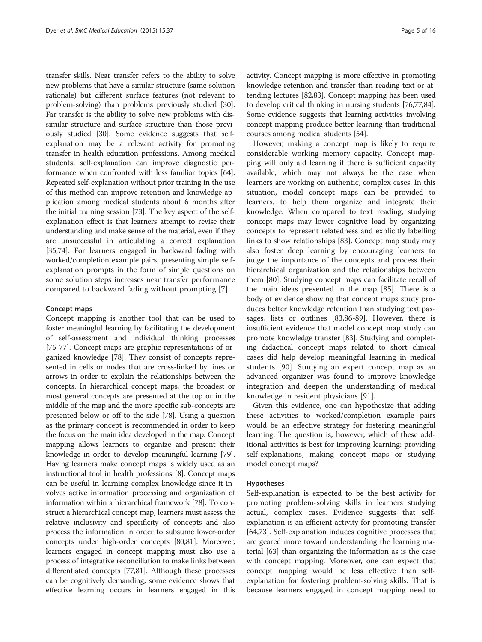transfer skills. Near transfer refers to the ability to solve new problems that have a similar structure (same solution rationale) but different surface features (not relevant to problem-solving) than problems previously studied [[30](#page-13-0)]. Far transfer is the ability to solve new problems with dissimilar structure and surface structure than those previously studied [\[30\]](#page-13-0). Some evidence suggests that selfexplanation may be a relevant activity for promoting transfer in health education professions. Among medical students, self-explanation can improve diagnostic performance when confronted with less familiar topics [[64](#page-14-0)]. Repeated self-explanation without prior training in the use of this method can improve retention and knowledge application among medical students about 6 months after the initial training session [\[73\]](#page-14-0). The key aspect of the selfexplanation effect is that learners attempt to revise their understanding and make sense of the material, even if they are unsuccessful in articulating a correct explanation [[35](#page-13-0)[,74](#page-14-0)]. For learners engaged in backward fading with worked/completion example pairs, presenting simple selfexplanation prompts in the form of simple questions on some solution steps increases near transfer performance compared to backward fading without prompting [\[7\]](#page-13-0).

#### Concept maps

Concept mapping is another tool that can be used to foster meaningful learning by facilitating the development of self-assessment and individual thinking processes [[75](#page-14-0)-[77](#page-14-0)]. Concept maps are graphic representations of organized knowledge [[78](#page-14-0)]. They consist of concepts represented in cells or nodes that are cross-linked by lines or arrows in order to explain the relationships between the concepts. In hierarchical concept maps, the broadest or most general concepts are presented at the top or in the middle of the map and the more specific sub-concepts are presented below or off to the side [\[78\]](#page-14-0). Using a question as the primary concept is recommended in order to keep the focus on the main idea developed in the map. Concept mapping allows learners to organize and present their knowledge in order to develop meaningful learning [[79](#page-14-0)]. Having learners make concept maps is widely used as an instructional tool in health professions [\[8\]](#page-13-0). Concept maps can be useful in learning complex knowledge since it involves active information processing and organization of information within a hierarchical framework [\[78](#page-14-0)]. To construct a hierarchical concept map, learners must assess the relative inclusivity and specificity of concepts and also process the information in order to subsume lower-order concepts under high-order concepts [\[80,81](#page-14-0)]. Moreover, learners engaged in concept mapping must also use a process of integrative reconciliation to make links between differentiated concepts [\[77,81](#page-14-0)]. Although these processes can be cognitively demanding, some evidence shows that effective learning occurs in learners engaged in this activity. Concept mapping is more effective in promoting knowledge retention and transfer than reading text or attending lectures [[82,83](#page-14-0)]. Concept mapping has been used to develop critical thinking in nursing students [\[76,77,84](#page-14-0)]. Some evidence suggests that learning activities involving concept mapping produce better learning than traditional courses among medical students [\[54\]](#page-14-0).

However, making a concept map is likely to require considerable working memory capacity. Concept mapping will only aid learning if there is sufficient capacity available, which may not always be the case when learners are working on authentic, complex cases. In this situation, model concept maps can be provided to learners, to help them organize and integrate their knowledge. When compared to text reading, studying concept maps may lower cognitive load by organizing concepts to represent relatedness and explicitly labelling links to show relationships [\[83](#page-14-0)]. Concept map study may also foster deep learning by encouraging learners to judge the importance of the concepts and process their hierarchical organization and the relationships between them [\[80](#page-14-0)]. Studying concept maps can facilitate recall of the main ideas presented in the map [[85\]](#page-14-0). There is a body of evidence showing that concept maps study produces better knowledge retention than studying text passages, lists or outlines [[83,86-89\]](#page-14-0). However, there is insufficient evidence that model concept map study can promote knowledge transfer [[83\]](#page-14-0). Studying and completing didactical concept maps related to short clinical cases did help develop meaningful learning in medical students [[90\]](#page-14-0). Studying an expert concept map as an advanced organizer was found to improve knowledge integration and deepen the understanding of medical knowledge in resident physicians [[91\]](#page-14-0).

Given this evidence, one can hypothesize that adding these activities to worked/completion example pairs would be an effective strategy for fostering meaningful learning. The question is, however, which of these additional activities is best for improving learning: providing self-explanations, making concept maps or studying model concept maps?

# Hypotheses

Self-explanation is expected to be the best activity for promoting problem-solving skills in learners studying actual, complex cases. Evidence suggests that selfexplanation is an efficient activity for promoting transfer [[64,73\]](#page-14-0). Self-explanation induces cognitive processes that are geared more toward understanding the learning material [[63\]](#page-14-0) than organizing the information as is the case with concept mapping. Moreover, one can expect that concept mapping would be less effective than selfexplanation for fostering problem-solving skills. That is because learners engaged in concept mapping need to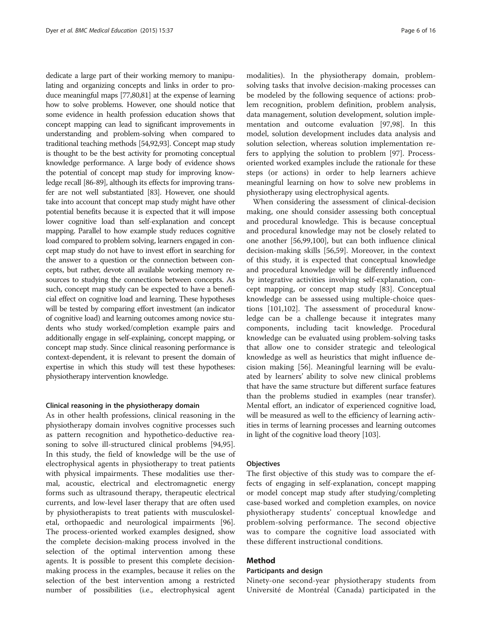dedicate a large part of their working memory to manipulating and organizing concepts and links in order to produce meaningful maps [\[77,80,81\]](#page-14-0) at the expense of learning how to solve problems. However, one should notice that some evidence in health profession education shows that concept mapping can lead to significant improvements in understanding and problem-solving when compared to traditional teaching methods [\[54,92,93](#page-14-0)]. Concept map study is thought to be the best activity for promoting conceptual knowledge performance. A large body of evidence shows the potential of concept map study for improving knowledge recall [\[86](#page-14-0)-[89](#page-14-0)], although its effects for improving transfer are not well substantiated [\[83\]](#page-14-0). However, one should take into account that concept map study might have other potential benefits because it is expected that it will impose lower cognitive load than self-explanation and concept mapping. Parallel to how example study reduces cognitive load compared to problem solving, learners engaged in concept map study do not have to invest effort in searching for the answer to a question or the connection between concepts, but rather, devote all available working memory resources to studying the connections between concepts. As such, concept map study can be expected to have a beneficial effect on cognitive load and learning. These hypotheses will be tested by comparing effort investment (an indicator of cognitive load) and learning outcomes among novice students who study worked/completion example pairs and additionally engage in self-explaining, concept mapping, or concept map study. Since clinical reasoning performance is context-dependent, it is relevant to present the domain of expertise in which this study will test these hypotheses: physiotherapy intervention knowledge.

#### Clinical reasoning in the physiotherapy domain

As in other health professions, clinical reasoning in the physiotherapy domain involves cognitive processes such as pattern recognition and hypothetico-deductive reasoning to solve ill-structured clinical problems [\[94,95](#page-14-0)]. In this study, the field of knowledge will be the use of electrophysical agents in physiotherapy to treat patients with physical impairments. These modalities use thermal, acoustic, electrical and electromagnetic energy forms such as ultrasound therapy, therapeutic electrical currents, and low-level laser therapy that are often used by physiotherapists to treat patients with musculoskeletal, orthopaedic and neurological impairments [\[96](#page-14-0)]. The process-oriented worked examples designed, show the complete decision-making process involved in the selection of the optimal intervention among these agents. It is possible to present this complete decisionmaking process in the examples, because it relies on the selection of the best intervention among a restricted number of possibilities (i.e., electrophysical agent

modalities). In the physiotherapy domain, problemsolving tasks that involve decision-making processes can be modeled by the following sequence of actions: problem recognition, problem definition, problem analysis, data management, solution development, solution implementation and outcome evaluation [[97,98\]](#page-14-0). In this model, solution development includes data analysis and solution selection, whereas solution implementation refers to applying the solution to problem [[97](#page-14-0)]. Processoriented worked examples include the rationale for these steps (or actions) in order to help learners achieve meaningful learning on how to solve new problems in physiotherapy using electrophysical agents.

When considering the assessment of clinical-decision making, one should consider assessing both conceptual and procedural knowledge. This is because conceptual and procedural knowledge may not be closely related to one another [\[56,99,100\]](#page-14-0), but can both influence clinical decision-making skills [\[56,59\]](#page-14-0). Moreover, in the context of this study, it is expected that conceptual knowledge and procedural knowledge will be differently influenced by integrative activities involving self-explanation, concept mapping, or concept map study [\[83\]](#page-14-0). Conceptual knowledge can be assessed using multiple-choice questions [[101](#page-14-0),[102](#page-14-0)]. The assessment of procedural knowledge can be a challenge because it integrates many components, including tacit knowledge. Procedural knowledge can be evaluated using problem-solving tasks that allow one to consider strategic and teleological knowledge as well as heuristics that might influence decision making [\[56](#page-14-0)]. Meaningful learning will be evaluated by learners' ability to solve new clinical problems that have the same structure but different surface features than the problems studied in examples (near transfer). Mental effort, an indicator of experienced cognitive load, will be measured as well to the efficiency of learning activities in terms of learning processes and learning outcomes in light of the cognitive load theory [[103](#page-14-0)].

#### **Objectives**

The first objective of this study was to compare the effects of engaging in self-explanation, concept mapping or model concept map study after studying/completing case-based worked and completion examples, on novice physiotherapy students' conceptual knowledge and problem-solving performance. The second objective was to compare the cognitive load associated with these different instructional conditions.

# Method

# Participants and design

Ninety-one second-year physiotherapy students from Université de Montréal (Canada) participated in the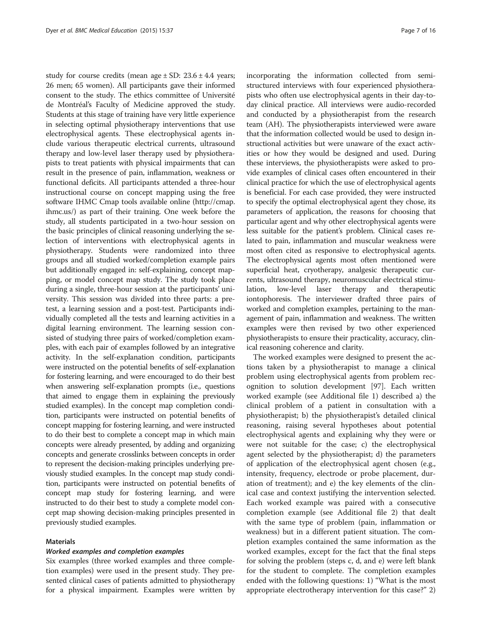study for course credits (mean age  $\pm$  SD: 23.6  $\pm$  4.4 years; 26 men; 65 women). All participants gave their informed consent to the study. The ethics committee of Université de Montréal's Faculty of Medicine approved the study. Students at this stage of training have very little experience in selecting optimal physiotherapy interventions that use electrophysical agents. These electrophysical agents include various therapeutic electrical currents, ultrasound therapy and low-level laser therapy used by physiotherapists to treat patients with physical impairments that can result in the presence of pain, inflammation, weakness or functional deficits. All participants attended a three-hour instructional course on concept mapping using the free software IHMC Cmap tools available online [\(http://cmap.](http://cmap.ihmc.us/) [ihmc.us/](http://cmap.ihmc.us/)) as part of their training. One week before the study, all students participated in a two-hour session on the basic principles of clinical reasoning underlying the selection of interventions with electrophysical agents in physiotherapy. Students were randomized into three groups and all studied worked/completion example pairs but additionally engaged in: self-explaining, concept mapping, or model concept map study. The study took place during a single, three-hour session at the participants' university. This session was divided into three parts: a pretest, a learning session and a post-test. Participants individually completed all the tests and learning activities in a digital learning environment. The learning session consisted of studying three pairs of worked/completion examples, with each pair of examples followed by an integrative activity. In the self-explanation condition, participants were instructed on the potential benefits of self-explanation for fostering learning, and were encouraged to do their best when answering self-explanation prompts (i.e., questions that aimed to engage them in explaining the previously studied examples). In the concept map completion condition, participants were instructed on potential benefits of concept mapping for fostering learning, and were instructed to do their best to complete a concept map in which main concepts were already presented, by adding and organizing concepts and generate crosslinks between concepts in order to represent the decision-making principles underlying previously studied examples. In the concept map study condition, participants were instructed on potential benefits of concept map study for fostering learning, and were instructed to do their best to study a complete model concept map showing decision-making principles presented in previously studied examples.

## Materials

#### Worked examples and completion examples

Six examples (three worked examples and three completion examples) were used in the present study. They presented clinical cases of patients admitted to physiotherapy for a physical impairment. Examples were written by

incorporating the information collected from semistructured interviews with four experienced physiotherapists who often use electrophysical agents in their day-today clinical practice. All interviews were audio-recorded and conducted by a physiotherapist from the research team (AH). The physiotherapists interviewed were aware that the information collected would be used to design instructional activities but were unaware of the exact activities or how they would be designed and used. During these interviews, the physiotherapists were asked to provide examples of clinical cases often encountered in their clinical practice for which the use of electrophysical agents is beneficial. For each case provided, they were instructed to specify the optimal electrophysical agent they chose, its parameters of application, the reasons for choosing that particular agent and why other electrophysical agents were less suitable for the patient's problem. Clinical cases related to pain, inflammation and muscular weakness were most often cited as responsive to electrophysical agents. The electrophysical agents most often mentioned were superficial heat, cryotherapy, analgesic therapeutic currents, ultrasound therapy, neuromuscular electrical stimulation, low-level laser therapy and therapeutic iontophoresis. The interviewer drafted three pairs of worked and completion examples, pertaining to the management of pain, inflammation and weakness. The written examples were then revised by two other experienced physiotherapists to ensure their practicality, accuracy, clinical reasoning coherence and clarity.

The worked examples were designed to present the actions taken by a physiotherapist to manage a clinical problem using electrophysical agents from problem recognition to solution development [[97](#page-14-0)]. Each written worked example (see Additional file [1](#page-12-0)) described a) the clinical problem of a patient in consultation with a physiotherapist; b) the physiotherapist's detailed clinical reasoning, raising several hypotheses about potential electrophysical agents and explaining why they were or were not suitable for the case; c) the electrophysical agent selected by the physiotherapist; d) the parameters of application of the electrophysical agent chosen (e.g., intensity, frequency, electrode or probe placement, duration of treatment); and e) the key elements of the clinical case and context justifying the intervention selected. Each worked example was paired with a consecutive completion example (see Additional file [2\)](#page-12-0) that dealt with the same type of problem (pain, inflammation or weakness) but in a different patient situation. The completion examples contained the same information as the worked examples, except for the fact that the final steps for solving the problem (steps c, d, and e) were left blank for the student to complete. The completion examples ended with the following questions: 1) "What is the most appropriate electrotherapy intervention for this case?" 2)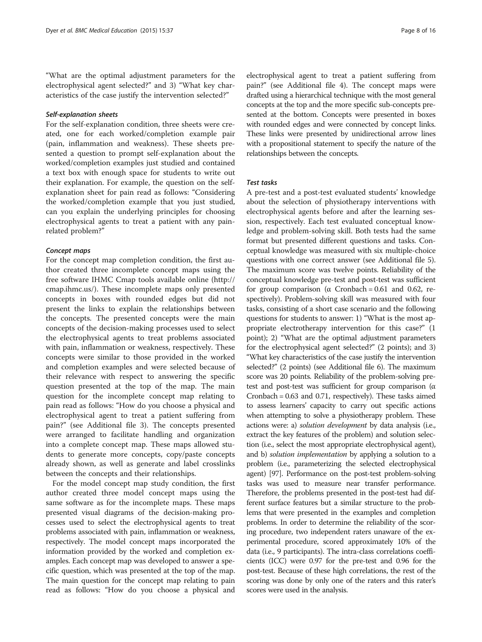"What are the optimal adjustment parameters for the electrophysical agent selected?" and 3) "What key characteristics of the case justify the intervention selected?"

#### Self-explanation sheets

For the self-explanation condition, three sheets were created, one for each worked/completion example pair (pain, inflammation and weakness). These sheets presented a question to prompt self-explanation about the worked/completion examples just studied and contained a text box with enough space for students to write out their explanation. For example, the question on the selfexplanation sheet for pain read as follows: "Considering the worked/completion example that you just studied, can you explain the underlying principles for choosing electrophysical agents to treat a patient with any painrelated problem?"

#### Concept maps

For the concept map completion condition, the first author created three incomplete concept maps using the free software IHMC Cmap tools available online [\(http://](http://cmap.ihmc.us/) [cmap.ihmc.us/](http://cmap.ihmc.us/)). These incomplete maps only presented concepts in boxes with rounded edges but did not present the links to explain the relationships between the concepts. The presented concepts were the main concepts of the decision-making processes used to select the electrophysical agents to treat problems associated with pain, inflammation or weakness, respectively. These concepts were similar to those provided in the worked and completion examples and were selected because of their relevance with respect to answering the specific question presented at the top of the map. The main question for the incomplete concept map relating to pain read as follows: "How do you choose a physical and electrophysical agent to treat a patient suffering from pain?" (see Additional file [3](#page-12-0)). The concepts presented were arranged to facilitate handling and organization into a complete concept map. These maps allowed students to generate more concepts, copy/paste concepts already shown, as well as generate and label crosslinks between the concepts and their relationships.

For the model concept map study condition, the first author created three model concept maps using the same software as for the incomplete maps. These maps presented visual diagrams of the decision-making processes used to select the electrophysical agents to treat problems associated with pain, inflammation or weakness, respectively. The model concept maps incorporated the information provided by the worked and completion examples. Each concept map was developed to answer a specific question, which was presented at the top of the map. The main question for the concept map relating to pain read as follows: "How do you choose a physical and

electrophysical agent to treat a patient suffering from pain?" (see Additional file [4\)](#page-12-0). The concept maps were drafted using a hierarchical technique with the most general concepts at the top and the more specific sub-concepts presented at the bottom. Concepts were presented in boxes with rounded edges and were connected by concept links. These links were presented by unidirectional arrow lines with a propositional statement to specify the nature of the relationships between the concepts.

# Test tasks

A pre-test and a post-test evaluated students' knowledge about the selection of physiotherapy interventions with electrophysical agents before and after the learning session, respectively. Each test evaluated conceptual knowledge and problem-solving skill. Both tests had the same format but presented different questions and tasks. Conceptual knowledge was measured with six multiple-choice questions with one correct answer (see Additional file [5](#page-12-0)). The maximum score was twelve points. Reliability of the conceptual knowledge pre-test and post-test was sufficient for group comparison ( $\alpha$  Cronbach = 0.61 and 0.62, respectively). Problem-solving skill was measured with four tasks, consisting of a short case scenario and the following questions for students to answer: 1) "What is the most appropriate electrotherapy intervention for this case?" (1 point); 2) "What are the optimal adjustment parameters for the electrophysical agent selected?" (2 points); and 3) "What key characteristics of the case justify the intervention selected?" (2 points) (see Additional file [6\)](#page-12-0). The maximum score was 20 points. Reliability of the problem-solving pretest and post-test was sufficient for group comparison (α Cronbach = 0.63 and 0.71, respectively). These tasks aimed to assess learners' capacity to carry out specific actions when attempting to solve a physiotherapy problem. These actions were: a) *solution development* by data analysis (i.e., extract the key features of the problem) and solution selection (i.e., select the most appropriate electrophysical agent), and b) solution implementation by applying a solution to a problem (i.e., parameterizing the selected electrophysical agent) [[97](#page-14-0)]. Performance on the post-test problem-solving tasks was used to measure near transfer performance. Therefore, the problems presented in the post-test had different surface features but a similar structure to the problems that were presented in the examples and completion problems. In order to determine the reliability of the scoring procedure, two independent raters unaware of the experimental procedure, scored approximately 10% of the data (i.e., 9 participants). The intra-class correlations coefficients (ICC) were 0.97 for the pre-test and 0.96 for the post-test. Because of these high correlations, the rest of the scoring was done by only one of the raters and this rater's scores were used in the analysis.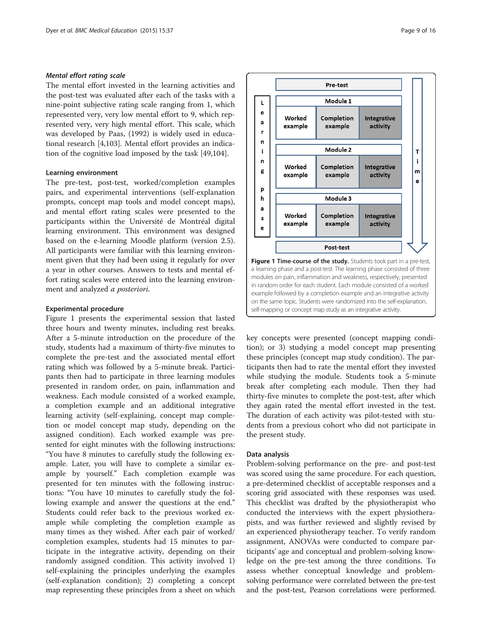#### Mental effort rating scale

The mental effort invested in the learning activities and the post-test was evaluated after each of the tasks with a nine-point subjective rating scale ranging from 1, which represented very, very low mental effort to 9, which represented very, very high mental effort. This scale, which was developed by Paas, (1992) is widely used in educational research [[4,](#page-13-0)[103](#page-14-0)]. Mental effort provides an indication of the cognitive load imposed by the task [[49,](#page-13-0)[104\]](#page-14-0).

#### Learning environment

The pre-test, post-test, worked/completion examples pairs, and experimental interventions (self-explanation prompts, concept map tools and model concept maps), and mental effort rating scales were presented to the participants within the Université de Montréal digital learning environment. This environment was designed based on the e-learning Moodle platform (version 2.5). All participants were familiar with this learning environment given that they had been using it regularly for over a year in other courses. Answers to tests and mental effort rating scales were entered into the learning environment and analyzed a posteriori.

# Experimental procedure

Figure 1 presents the experimental session that lasted three hours and twenty minutes, including rest breaks. After a 5-minute introduction on the procedure of the study, students had a maximum of thirty-five minutes to complete the pre-test and the associated mental effort rating which was followed by a 5-minute break. Participants then had to participate in three learning modules presented in random order, on pain, inflammation and weakness. Each module consisted of a worked example, a completion example and an additional integrative learning activity (self-explaining, concept map completion or model concept map study, depending on the assigned condition). Each worked example was presented for eight minutes with the following instructions: "You have 8 minutes to carefully study the following example. Later, you will have to complete a similar example by yourself." Each completion example was presented for ten minutes with the following instructions: "You have 10 minutes to carefully study the following example and answer the questions at the end." Students could refer back to the previous worked example while completing the completion example as many times as they wished. After each pair of worked/ completion examples, students had 15 minutes to participate in the integrative activity, depending on their randomly assigned condition. This activity involved 1) self-explaining the principles underlying the examples (self-explanation condition); 2) completing a concept map representing these principles from a sheet on which



key concepts were presented (concept mapping condition); or 3) studying a model concept map presenting these principles (concept map study condition). The participants then had to rate the mental effort they invested while studying the module. Students took a 5-minute break after completing each module. Then they had thirty-five minutes to complete the post-test, after which they again rated the mental effort invested in the test. The duration of each activity was pilot-tested with students from a previous cohort who did not participate in the present study.

# Data analysis

Problem-solving performance on the pre- and post-test was scored using the same procedure. For each question, a pre-determined checklist of acceptable responses and a scoring grid associated with these responses was used. This checklist was drafted by the physiotherapist who conducted the interviews with the expert physiotherapists, and was further reviewed and slightly revised by an experienced physiotherapy teacher. To verify random assignment, ANOVAs were conducted to compare participants' age and conceptual and problem-solving knowledge on the pre-test among the three conditions. To assess whether conceptual knowledge and problemsolving performance were correlated between the pre-test and the post-test, Pearson correlations were performed.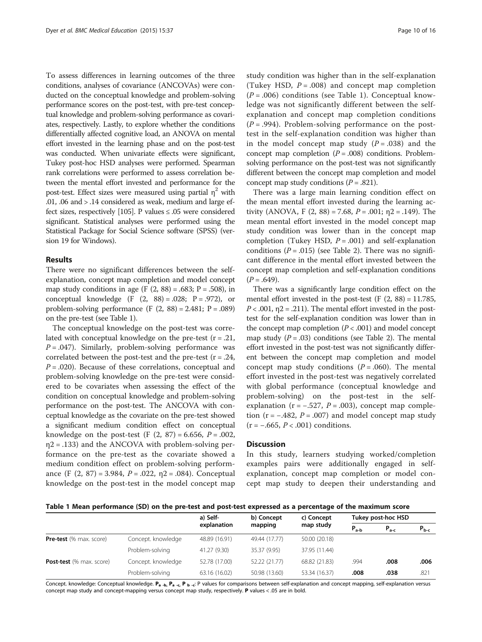To assess differences in learning outcomes of the three conditions, analyses of covariance (ANCOVAs) were conducted on the conceptual knowledge and problem-solving performance scores on the post-test, with pre-test conceptual knowledge and problem-solving performance as covariates, respectively. Lastly, to explore whether the conditions differentially affected cognitive load, an ANOVA on mental effort invested in the learning phase and on the post-test was conducted. When univariate effects were significant, Tukey post-hoc HSD analyses were performed. Spearman rank correlations were performed to assess correlation between the mental effort invested and performance for the post-test. Effect sizes were measured using partial  $\eta^2$  with .01, .06 and > .14 considered as weak, medium and large ef-fect sizes, respectively [\[105](#page-14-0)]. P values  $\leq .05$  were considered significant. Statistical analyses were performed using the Statistical Package for Social Science software (SPSS) (version 19 for Windows).

# Results

There were no significant differences between the selfexplanation, concept map completion and model concept map study conditions in age (F  $(2, 88) = .683$ ; P = .508), in conceptual knowledge  $(F (2, 88) = .028; P = .972)$ , or problem-solving performance  $(F (2, 88) = 2.481; P = .089)$ on the pre-test (see Table 1).

The conceptual knowledge on the post-test was correlated with conceptual knowledge on the pre-test  $(r = .21, )$  $P = .047$ ). Similarly, problem-solving performance was correlated between the post-test and the pre-test  $(r = .24, ...)$  $P = .020$ ). Because of these correlations, conceptual and problem-solving knowledge on the pre-test were considered to be covariates when assessing the effect of the condition on conceptual knowledge and problem-solving performance on the post-test. The ANCOVA with conceptual knowledge as the covariate on the pre-test showed a significant medium condition effect on conceptual knowledge on the post-test (F  $(2, 87) = 6.656$ ,  $P = .002$ , η2 = .133) and the ANCOVA with problem-solving performance on the pre-test as the covariate showed a medium condition effect on problem-solving performance  $(F (2, 87) = 3.984, P = .022, \eta2 = .084)$ . Conceptual knowledge on the post-test in the model concept map

study condition was higher than in the self-explanation (Tukey HSD,  $P = .008$ ) and concept map completion  $(P=.006)$  conditions (see Table 1). Conceptual knowledge was not significantly different between the selfexplanation and concept map completion conditions  $(P=.994)$ . Problem-solving performance on the posttest in the self-explanation condition was higher than in the model concept map study  $(P=.038)$  and the concept map completion  $(P=.008)$  conditions. Problemsolving performance on the post-test was not significantly different between the concept map completion and model concept map study conditions  $(P=.821)$ .

There was a large main learning condition effect on the mean mental effort invested during the learning activity (ANOVA, F  $(2, 88) = 7.68$ ,  $P = .001$ ;  $n2 = .149$ ). The mean mental effort invested in the model concept map study condition was lower than in the concept map completion (Tukey HSD,  $P = .001$ ) and self-explanation conditions ( $P = .015$ ) (see Table [2\)](#page-10-0). There was no significant difference in the mental effort invested between the concept map completion and self-explanation conditions  $(P=.649).$ 

There was a significantly large condition effect on the mental effort invested in the post-test  $(F (2, 88) = 11.785,$  $P < .001$ ,  $\eta$ 2 = .211). The mental effort invested in the posttest for the self-explanation condition was lower than in the concept map completion  $(P < .001)$  and model concept map study  $(P=.03)$  conditions (see Table [2](#page-10-0)). The mental effort invested in the post-test was not significantly different between the concept map completion and model concept map study conditions  $(P=.060)$ . The mental effort invested in the post-test was negatively correlated with global performance (conceptual knowledge and problem-solving) on the post-test in the selfexplanation ( $r = -.527$ ,  $P = .003$ ), concept map completion (r =  $-.482$ , P = .007) and model concept map study  $(r = -.665, P < .001)$  conditions.

# **Discussion**

In this study, learners studying worked/completion examples pairs were additionally engaged in selfexplanation, concept map completion or model concept map study to deepen their understanding and

|  |  |  |  |  | Table 1 Mean performance (SD) on the pre-test and post-test expressed as a percentage of the maximum score |  |  |  |  |  |
|--|--|--|--|--|------------------------------------------------------------------------------------------------------------|--|--|--|--|--|
|--|--|--|--|--|------------------------------------------------------------------------------------------------------------|--|--|--|--|--|

|                                 |                    | a) Self-<br>explanation | b) Concept<br>mapping | c) Concept<br>map study | Tukey post-hoc HSD |           |           |
|---------------------------------|--------------------|-------------------------|-----------------------|-------------------------|--------------------|-----------|-----------|
|                                 |                    |                         |                       |                         | $P_{a-b}$          | $P_{a-c}$ | $P_{b-c}$ |
| <b>Pre-test</b> (% max. score)  | Concept. knowledge | 48.89 (16.91)           | 49.44 (17.77)         | 50.00 (20.18)           |                    |           |           |
|                                 | Problem-solving    | 41.27 (9.30)            | 35.37 (9.95)          | 37.95 (11.44)           |                    |           |           |
| <b>Post-test</b> (% max. score) | Concept. knowledge | 52.78 (17.00)           | 52.22 (21.77)         | 68.82 (21.83)           | .994               | .008      | .006      |
|                                 | Problem-solving    | 63.16 (16.02)           | 50.98 (13.60)         | 53.34 (16.37)           | .008               | .038      | .821      |

Concept. knowledge: Conceptual knowledge.  $P_{a-b}$ ,  $P_{a-c}$ ,  $P_{b-c}$ : P values for comparisons between self-explanation and concept mapping, self-explanation versus concept map study and concept-mapping versus concept map study, respectively. **P** values < .05 are in bold.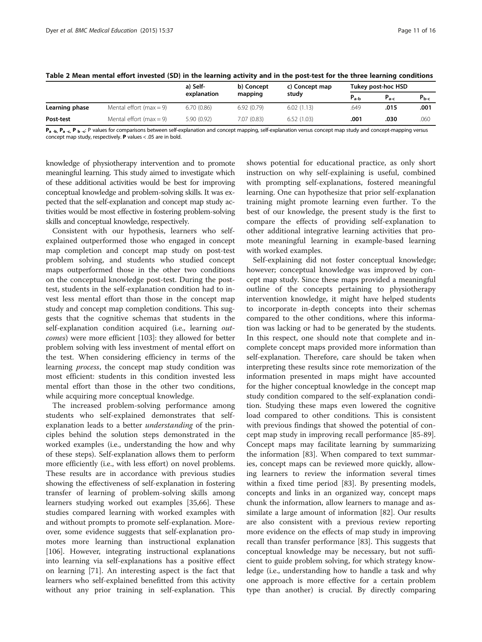|                |                             | a) Self-<br>explanation | b) Concept<br>mapping | c) Concept map<br>study | Tukey post-hoc HSD |                  |          |
|----------------|-----------------------------|-------------------------|-----------------------|-------------------------|--------------------|------------------|----------|
|                |                             |                         |                       |                         | $P_{a-b}$          | $P_{\text{a-c}}$ | $P_{bc}$ |
| Learning phase | Mental effort ( $max = 9$ ) | 6.70(0.86)              | 6.92(0.79)            | 6.02(1.13)              | .649               | .015             | .001     |
| Post-test      | Mental effort ( $max = 9$ ) | 5.90(0.92)              | 7.07 (0.83)           | 6.52(1.03)              | .001               | .030             | .060     |

<span id="page-10-0"></span>

| Table 2 Mean mental effort invested (SD) in the learning activity and in the post-test for the three learning conditions |  |  |  |
|--------------------------------------------------------------------------------------------------------------------------|--|--|--|
|--------------------------------------------------------------------------------------------------------------------------|--|--|--|

Pa -b, Pa -c, P b -c: P values for comparisons between self-explanation and concept mapping, self-explanation versus concept map study and concept-mapping versus concept map study, respectively. **P** values  $< .05$  are in bold.

knowledge of physiotherapy intervention and to promote meaningful learning. This study aimed to investigate which of these additional activities would be best for improving conceptual knowledge and problem-solving skills. It was expected that the self-explanation and concept map study activities would be most effective in fostering problem-solving skills and conceptual knowledge, respectively.

Consistent with our hypothesis, learners who selfexplained outperformed those who engaged in concept map completion and concept map study on post-test problem solving, and students who studied concept maps outperformed those in the other two conditions on the conceptual knowledge post-test. During the posttest, students in the self-explanation condition had to invest less mental effort than those in the concept map study and concept map completion conditions. This suggests that the cognitive schemas that students in the self-explanation condition acquired (i.e., learning outcomes) were more efficient [[103](#page-14-0)]: they allowed for better problem solving with less investment of mental effort on the test. When considering efficiency in terms of the learning process, the concept map study condition was most efficient: students in this condition invested less mental effort than those in the other two conditions, while acquiring more conceptual knowledge.

The increased problem-solving performance among students who self-explained demonstrates that selfexplanation leads to a better *understanding* of the principles behind the solution steps demonstrated in the worked examples (i.e., understanding the how and why of these steps). Self-explanation allows them to perform more efficiently (i.e., with less effort) on novel problems. These results are in accordance with previous studies showing the effectiveness of self-explanation in fostering transfer of learning of problem-solving skills among learners studying worked out examples [[35,](#page-13-0)[66\]](#page-14-0). These studies compared learning with worked examples with and without prompts to promote self-explanation. Moreover, some evidence suggests that self-explanation promotes more learning than instructional explanation [[106\]](#page-15-0). However, integrating instructional explanations into learning via self-explanations has a positive effect on learning [[71](#page-14-0)]. An interesting aspect is the fact that learners who self-explained benefitted from this activity without any prior training in self-explanation. This

shows potential for educational practice, as only short instruction on why self-explaining is useful, combined with prompting self-explanations, fostered meaningful learning. One can hypothesize that prior self-explanation training might promote learning even further. To the best of our knowledge, the present study is the first to compare the effects of providing self-explanation to other additional integrative learning activities that promote meaningful learning in example-based learning with worked examples.

Self-explaining did not foster conceptual knowledge; however; conceptual knowledge was improved by concept map study. Since these maps provided a meaningful outline of the concepts pertaining to physiotherapy intervention knowledge, it might have helped students to incorporate in-depth concepts into their schemas compared to the other conditions, where this information was lacking or had to be generated by the students. In this respect, one should note that complete and incomplete concept maps provided more information than self-explanation. Therefore, care should be taken when interpreting these results since rote memorization of the information presented in maps might have accounted for the higher conceptual knowledge in the concept map study condition compared to the self-explanation condition. Studying these maps even lowered the cognitive load compared to other conditions. This is consistent with previous findings that showed the potential of concept map study in improving recall performance [\[85-89](#page-14-0)]. Concept maps may facilitate learning by summarizing the information [\[83\]](#page-14-0). When compared to text summaries, concept maps can be reviewed more quickly, allowing learners to review the information several times within a fixed time period [\[83](#page-14-0)]. By presenting models, concepts and links in an organized way, concept maps chunk the information, allow learners to manage and assimilate a large amount of information [[82\]](#page-14-0). Our results are also consistent with a previous review reporting more evidence on the effects of map study in improving recall than transfer performance [\[83\]](#page-14-0). This suggests that conceptual knowledge may be necessary, but not sufficient to guide problem solving, for which strategy knowledge (i.e., understanding how to handle a task and why one approach is more effective for a certain problem type than another) is crucial. By directly comparing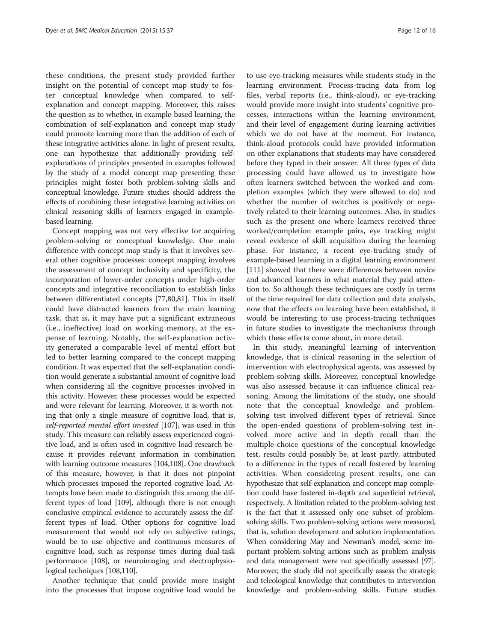these conditions, the present study provided further insight on the potential of concept map study to foster conceptual knowledge when compared to selfexplanation and concept mapping. Moreover, this raises the question as to whether, in example-based learning, the combination of self-explanation and concept map study could promote learning more than the addition of each of these integrative activities alone. In light of present results, one can hypothesize that additionally providing selfexplanations of principles presented in examples followed by the study of a model concept map presenting these principles might foster both problem-solving skills and conceptual knowledge. Future studies should address the effects of combining these integrative learning activities on clinical reasoning skills of learners engaged in examplebased learning.

Concept mapping was not very effective for acquiring problem-solving or conceptual knowledge. One main difference with concept map study is that it involves several other cognitive processes: concept mapping involves the assessment of concept inclusivity and specificity, the incorporation of lower-order concepts under high-order concepts and integrative reconciliation to establish links between differentiated concepts [[77,80,81\]](#page-14-0). This in itself could have distracted learners from the main learning task, that is, it may have put a significant extraneous (i.e., ineffective) load on working memory, at the expense of learning. Notably, the self-explanation activity generated a comparable level of mental effort but led to better learning compared to the concept mapping condition. It was expected that the self-explanation condition would generate a substantial amount of cognitive load when considering all the cognitive processes involved in this activity. However, these processes would be expected and were relevant for learning. Moreover, it is worth noting that only a single measure of cognitive load, that is, self-reported mental effort invested [\[107\]](#page-15-0), was used in this study. This measure can reliably assess experienced cognitive load, and is often used in cognitive load research because it provides relevant information in combination with learning outcome measures [\[104,](#page-14-0)[108](#page-15-0)]. One drawback of this measure, however, is that it does not pinpoint which processes imposed the reported cognitive load. Attempts have been made to distinguish this among the different types of load [\[109](#page-15-0)], although there is not enough conclusive empirical evidence to accurately assess the different types of load. Other options for cognitive load measurement that would not rely on subjective ratings, would be to use objective and continuous measures of cognitive load, such as response times during dual-task performance [[108\]](#page-15-0), or neuroimaging and electrophysiological techniques [[108,110\]](#page-15-0).

Another technique that could provide more insight into the processes that impose cognitive load would be

to use eye-tracking measures while students study in the learning environment. Process-tracing data from log files, verbal reports (i.e., think-aloud), or eye-tracking would provide more insight into students' cognitive processes, interactions within the learning environment, and their level of engagement during learning activities which we do not have at the moment. For instance, think-aloud protocols could have provided information on other explanations that students may have considered before they typed in their answer. All three types of data processing could have allowed us to investigate how often learners switched between the worked and completion examples (which they were allowed to do) and whether the number of switches is positively or negatively related to their learning outcomes. Also, in studies such as the present one where learners received three worked/completion example pairs, eye tracking might reveal evidence of skill acquisition during the learning phase. For instance, a recent eye-tracking study of example-based learning in a digital learning environment [[111\]](#page-15-0) showed that there were differences between novice and advanced learners in what material they paid attention to. So although these techniques are costly in terms of the time required for data collection and data analysis, now that the effects on learning have been established, it would be interesting to use process-tracing techniques in future studies to investigate the mechanisms through which these effects come about, in more detail.

In this study, meaningful learning of intervention knowledge, that is clinical reasoning in the selection of intervention with electrophysical agents, was assessed by problem-solving skills. Moreover, conceptual knowledge was also assessed because it can influence clinical reasoning. Among the limitations of the study, one should note that the conceptual knowledge and problemsolving test involved different types of retrieval. Since the open-ended questions of problem-solving test involved more active and in depth recall than the multiple-choice questions of the conceptual knowledge test, results could possibly be, at least partly, attributed to a difference in the types of recall fostered by learning activities. When considering present results, one can hypothesize that self-explanation and concept map completion could have fostered in-depth and superficial retrieval, respectively. A limitation related to the problem-solving test is the fact that it assessed only one subset of problemsolving skills. Two problem-solving actions were measured, that is, solution development and solution implementation. When considering May and Newman's model, some important problem-solving actions such as problem analysis and data management were not specifically assessed [\[97](#page-14-0)]. Moreover, the study did not specifically assess the strategic and teleological knowledge that contributes to intervention knowledge and problem-solving skills. Future studies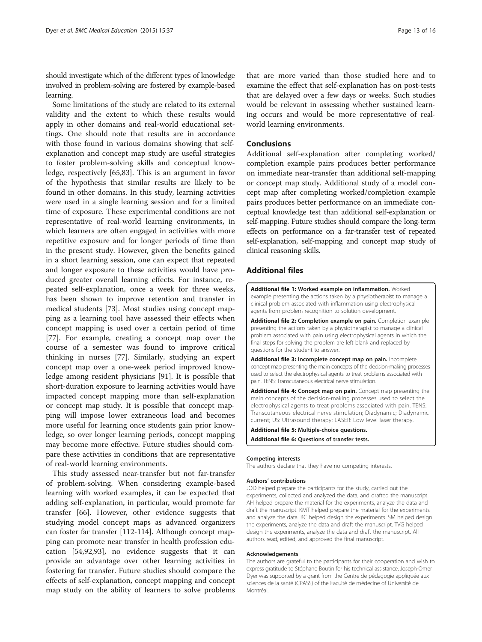<span id="page-12-0"></span>should investigate which of the different types of knowledge involved in problem-solving are fostered by example-based learning.

Some limitations of the study are related to its external validity and the extent to which these results would apply in other domains and real-world educational settings. One should note that results are in accordance with those found in various domains showing that selfexplanation and concept map study are useful strategies to foster problem-solving skills and conceptual knowledge, respectively [[65,83](#page-14-0)]. This is an argument in favor of the hypothesis that similar results are likely to be found in other domains. In this study, learning activities were used in a single learning session and for a limited time of exposure. These experimental conditions are not representative of real-world learning environments, in which learners are often engaged in activities with more repetitive exposure and for longer periods of time than in the present study. However, given the benefits gained in a short learning session, one can expect that repeated and longer exposure to these activities would have produced greater overall learning effects. For instance, repeated self-explanation, once a week for three weeks, has been shown to improve retention and transfer in medical students [[73\]](#page-14-0). Most studies using concept mapping as a learning tool have assessed their effects when concept mapping is used over a certain period of time [[77\]](#page-14-0). For example, creating a concept map over the course of a semester was found to improve critical thinking in nurses [\[77\]](#page-14-0). Similarly, studying an expert concept map over a one-week period improved knowledge among resident physicians [[91\]](#page-14-0). It is possible that short-duration exposure to learning activities would have impacted concept mapping more than self-explanation or concept map study. It is possible that concept mapping will impose lower extraneous load and becomes more useful for learning once students gain prior knowledge, so over longer learning periods, concept mapping may become more effective. Future studies should compare these activities in conditions that are representative of real-world learning environments.

This study assessed near-transfer but not far-transfer of problem-solving. When considering example-based learning with worked examples, it can be expected that adding self-explanation, in particular, would promote far transfer [[66\]](#page-14-0). However, other evidence suggests that studying model concept maps as advanced organizers can foster far transfer [\[112](#page-15-0)-[114](#page-15-0)]. Although concept mapping can promote near transfer in health profession education [\[54,92,93\]](#page-14-0), no evidence suggests that it can provide an advantage over other learning activities in fostering far transfer. Future studies should compare the effects of self-explanation, concept mapping and concept map study on the ability of learners to solve problems

that are more varied than those studied here and to examine the effect that self-explanation has on post-tests that are delayed over a few days or weeks. Such studies would be relevant in assessing whether sustained learning occurs and would be more representative of realworld learning environments.

# Conclusions

Additional self-explanation after completing worked/ completion example pairs produces better performance on immediate near-transfer than additional self-mapping or concept map study. Additional study of a model concept map after completing worked/completion example pairs produces better performance on an immediate conceptual knowledge test than additional self-explanation or self-mapping. Future studies should compare the long-term effects on performance on a far-transfer test of repeated self-explanation, self-mapping and concept map study of clinical reasoning skills.

#### Additional files

[Additional file 1:](http://www.biomedcentral.com/content/supplementary/s12909-015-0308-3-s1.docx) Worked example on inflammation. Worked example presenting the actions taken by a physiotherapist to manage a clinical problem associated with inflammation using electrophysical agents from problem recognition to solution development.

[Additional file 2:](http://www.biomedcentral.com/content/supplementary/s12909-015-0308-3-s2.docx) Completion example on pain. Completion example presenting the actions taken by a physiotherapist to manage a clinical problem associated with pain using electrophysical agents in which the final steps for solving the problem are left blank and replaced by questions for the student to answer.

[Additional file 3:](http://www.biomedcentral.com/content/supplementary/s12909-015-0308-3-s3.jpeg) Incomplete concept map on pain. Incomplete concept map presenting the main concepts of the decision-making processes used to select the electrophysical agents to treat problems associated with pain. TENS: Transcutaneous electrical nerve stimulation.

[Additional file 4:](http://www.biomedcentral.com/content/supplementary/s12909-015-0308-3-s4.jpeg) Concept map on pain. Concept map presenting the main concepts of the decision-making processes used to select the electrophysical agents to treat problems associated with pain. TENS: Transcutaneous electrical nerve stimulation; Diadynamic; Diadynamic current; US: Ultrasound therapy; LASER: Low level laser therapy.

[Additional file 5:](http://www.biomedcentral.com/content/supplementary/s12909-015-0308-3-s5.docx) Multiple-choice questions.

[Additional file 6:](http://www.biomedcentral.com/content/supplementary/s12909-015-0308-3-s6.docx) Questions of transfer tests.

#### Competing interests

The authors declare that they have no competing interests.

#### Authors' contributions

JOD helped prepare the participants for the study, carried out the experiments, collected and analyzed the data, and drafted the manuscript. AH helped prepare the material for the experiments, analyze the data and draft the manuscript. KMT helped prepare the material for the experiments and analyze the data. BC helped design the experiments. SM helped design the experiments, analyze the data and draft the manuscript. TVG helped design the experiments, analyze the data and draft the manuscript. All authors read, edited, and approved the final manuscript.

#### Acknowledgements

The authors are grateful to the participants for their cooperation and wish to express gratitude to Stéphane Boutin for his technical assistance. Joseph-Omer Dyer was supported by a grant from the Centre de pédagogie appliquée aux sciences de la santé (CPASS) of the Faculté de médecine of Université de Montréal.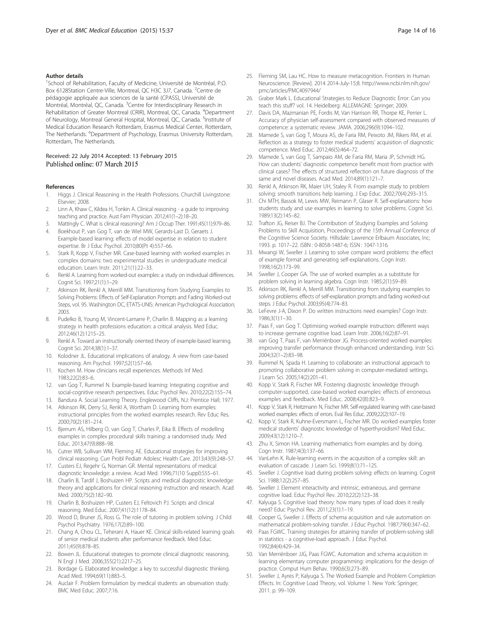#### <span id="page-13-0"></span>Author details

<sup>1</sup>School of Rehabilitation, Faculty of Medicine, Université de Montréal, P.O. Box 6128Station Centre-Ville, Montreal, QC H3C 3J7, Canada. <sup>2</sup>Centre de pédagogie appliquée aux sciences de la santé (CPASS), Université de Montréal, Montréal, QC, Canada. <sup>3</sup>Centre for Interdisciplinary Research in Rehabilitation of Greater Montreal (CRIR), Montreal, QC, Canada. <sup>4</sup>Department of Neurology, Montreal General Hospital, Montreal, QC, Canada. <sup>5</sup>Institute of Medical Education Research Rotterdam, Erasmus Medical Center, Rotterdam, The Netherlands. <sup>6</sup>Department of Psychology, Erasmus University Rotterdam, Rotterdam, The Netherlands.

#### Received: 22 July 2014 Accepted: 13 February 2015 Published online: 07 March 2015

#### References

- 1. Higgs J. Clinical Reasoning in the Health Professions. Churchill Livingstone: Elsevier; 2008.
- Linn A, Khaw C, Kildea H, Tonkin A. Clinical reasoning a guide to improving teaching and practice. Aust Fam Physician. 2012;41(1–2):18–20.
- 3. Mattingly C. What is clinical reasoning? Am J Occup Ther. 1991;45(11):979–86.
- 4. Boekhout P, van Gog T, van de Wiel MW, Gerards-Last D, Geraets J. Example-based learning: effects of model expertise in relation to student expertise. Br J Educ Psychol. 2010;80(Pt 4):557–66.
- 5. Stark R, Kopp V, Fischer MR. Case-based learning with worked examples in complex domains: two experimental studies in undergraduate medical education. Learn Instr. 2011;21(1):22–33.
- 6. Renkl A. Learning from worked-out examples: a study on individual differences. Cognit Sci. 1997;21(1):1–29.
- 7. Atkinson RK, Renkl A, Merrill MM. Transitioning from Studying Examples to Solving Problems: Effects of Self-Explanation Prompts and Fading Worked-out Steps, vol. 95. Washington DC, ETATS-UNIS: American Psychological Association; 2003.
- 8. Pudelko B, Young M, Vincent-Lamarre P, Charlin B. Mapping as a learning strategy in health professions education: a critical analysis. Med Educ. 2012;46(12):1215–25.
- 9. Renkl A. Toward an instructionally oriented theory of example-based learning. Cognit Sci. 2014;38(1):1–37.
- 10. Kolodner JL. Educational implications of analogy. A view from case-based reasoning. Am Psychol. 1997;52(1):57–66.
- 11. Kochen M. How clinicians recall experiences. Methods Inf Med. 1983;22(2):83–6.
- 12. van Gog T, Rummel N. Example-based learning: Integrating cognitive and social-cognitive research perspectives. Educ Psychol Rev. 2010;22(2):155–74.
- 13. Bandura A. Social Learning Theory. Englewood Cliffs, N.J: Prentice Hall; 1977.
- 14. Atkinson RK, Derry SJ, Renkl A, Wortham D. Learning from examples: instructional principles from the worked examples research. Rev Educ Res. 2000;70(2):181–214.
- 15. Bjerrum AS, Hilberg O, van Gog T, Charles P, Eika B. Effects of modelling examples in complex procedural skills training: a randomised study. Med Educ. 2013;47(9):888–98.
- 16. Cutrer WB, Sullivan WM, Fleming AE. Educational strategies for improving clinical reasoning. Curr Probl Pediatr Adolesc Health Care. 2013;43(9):248–57.
- 17. Custers EJ, Regehr G, Norman GR. Mental representations of medical diagnostic knowledge: a review. Acad Med. 1996;71(10 Suppl):S55–61.
- 18. Charlin B, Tardif J, Boshuizen HP. Scripts and medical diagnostic knowledge: theory and applications for clinical reasoning instruction and research. Acad Med. 2000;75(2):182–90.
- 19. Charlin B, Boshuizen HP, Custers EJ, Feltovich PJ. Scripts and clinical reasoning. Med Educ. 2007;41(12):1178–84.
- Wood D, Bruner JS, Ross G. The role of tutoring in problem solving. J Child Psychol Psychiatry. 1976;17(2):89–100.
- 21. Chang A, Chou CL, Teherani A, Hauer KE. Clinical skills-related learning goals of senior medical students after performance feedback. Med Educ. 2011;45(9):878–85.
- 22. Bowen JL. Educational strategies to promote clinical diagnostic reasoning. N Engl J Med. 2006;355(21):2217–25.
- 23. Bordage G. Elaborated knowledge: a key to successful diagnostic thinking. Acad Med. 1994;69(11):883–5.
- 24. Auclair F. Problem formulation by medical students: an observation study. BMC Med Educ. 2007;7:16.
- 25. Fleming SM, Lau HC. How to measure metacognition. Frontiers in Human Neuroscience. [Review]. 2014 2014-July-15;8. [http://www.ncbi.nlm.nih.gov/](http://www.ncbi.nlm.nih.gov/pmc/articles/PMC4097944/) [pmc/articles/PMC4097944/](http://www.ncbi.nlm.nih.gov/pmc/articles/PMC4097944/)
- 26. Graber Mark L. Educational Strategies to Reduce Diagnostic Error: Can you teach this stuff? vol. 14. Heidelberg: ALLEMAGNE: Springer; 2009.
- 27. Davis DA, Mazmanian PE, Fordis M, Van Harrison RR, Thorpe KE, Perrier L. Accuracy of physician self-assessment compared with observed measures of competence: a systematic review. JAMA. 2006;296(9):1094–102.
- 28. Mamede S, van Gog T, Moura AS, de Faria RM, Peixoto JM, Rikers RM, et al. Reflection as a strategy to foster medical students' acquisition of diagnostic competence. Med Educ. 2012;46(5):464–72.
- 29. Mamede S, van Gog T, Sampaio AM, de Faria RM, Maria JP, Schmidt HG. How can students' diagnostic competence benefit most from practice with clinical cases? The effects of structured reflection on future diagnosis of the same and novel diseases. Acad Med. 2014;89(1):121-7.
- 30. Renkl A, Atkinson RK, Maier UH, Staley R. From example study to problem solving: smooth transitions help learning. J Exp Educ. 2002;70(4):293–315.
- 31. Chi MTH, Bassok M, Lewis MW, Reimann P, Glaser R. Self-explanations: how students study and use examples in learning to solve problems. Cognit Sci. 1989;13(2):145–82.
- 32. Trafton JG, Reiser BJ. The Contribution of Studying Examples and Solving Problems to Skill Acquisition, Proceedings of the 15th Annual Conference of the Cognitive Science Society. Hillsdale: Lawrence Erlbaum Associates, Inc; 1993. p. 1017–22. ISBN : 0-8058-1487-6; ISSN : 1047-1316.
- 33. Mwangi W, Sweller J. Learning to solve compare word problems: the effect of example format and generating self-explanations. Cogn Instr. 1998;16(2):173–99.
- 34. Sweller J, Cooper GA. The use of worked examples as a substitute for problem solving in learning algebra. Cogn Instr. 1985;2(1):59–89.
- 35. Atkinson RK, Renkl A, Merrill MM. Transitioning from studying examples to solving problems: effects of self-explanation prompts and fading worked-out steps. J Educ Psychol. 2003;95(4):774–83.
- 36. LeFevre J-A, Dixon P. Do written instructions need examples? Cogn Instr. 1986;3(1):1–30.
- 37. Paas F, van Gog T. Optimising worked example instruction: different ways to increase germane cognitive load. Learn Instr. 2006;16(2):87–91.
- 38. van Gog T, Paas F, van Merriënboer JG. Process-oriented worked examples: improving transfer performance through enhanced understanding. Instr Sci. 2004;32(1–2):83–98.
- 39. Rummel N, Spada H. Learning to collaborate: an instructional approach to promoting collaborative problem solving in computer-mediated settings. J Learn Sci. 2005;14(2):201–41.
- 40. Kopp V, Stark R, Fischer MR. Fostering diagnostic knowledge through computer-supported, case-based worked examples: effects of erroneous examples and feedback. Med Educ. 2008;42(8):823–9.
- 41. Kopp V, Stark R, Heitzmann N, Fischer MR. Self-regulated learning with case-based worked examples: effects of errors. Eval Res Educ. 2009;22(2):107–19.
- 42. Kopp V, Stark R, Kuhne-Eversmann L, Fischer MR. Do worked examples foster medical students' diagnostic knowledge of hyperthyroidism? Med Educ. 2009;43(12):1210–7.
- 43. Zhu X, Simon HA. Learning mathematics from examples and by doing. Cogn Instr. 1987;4(3):137–66.
- 44. VanLehn K. Rule-learning events in the acquisition of a complex skill: an evaluation of cascade. J Learn Sci. 1999;8(1):71–125.
- 45. Sweller J. Cognitive load during problem solving: effects on learning. Cognit Sci. 1988;12(2):257–85.
- 46. Sweller J. Element interactivity and intrinsic, extraneous, and germane cognitive load. Educ Psychol Rev. 2010;22(2):123–38.
- 47. Kalyuga S. Cognitive load theory: how many types of load does it really need? Educ Psychol Rev. 2011;23(1):1–19.
- 48. Cooper G, Sweller J. Effects of schema acquisition and rule automation on mathematical problem-solving transfer. J Educ Psychol. 1987;79(4):347–62.
- 49. Paas FGWC. Training strategies for attaining transfer of problem-solving skill in statistics - a cognitive-load approach. J Educ Psychol. 1992;84(4):429–34.
- 50. Van Merriënboer JJG, Paas FGWC. Automation and schema acquisition in learning elementary computer programming: implications for the design of practice. Comput Hum Behav. 1990;6(3):273–89.
- 51. Sweller J, Ayres P, Kalyuga S. The Worked Example and Problem Completion Effects. In: Cognitive Load Theory, vol. Volume 1. New York: Springer; 2011. p. 99–109.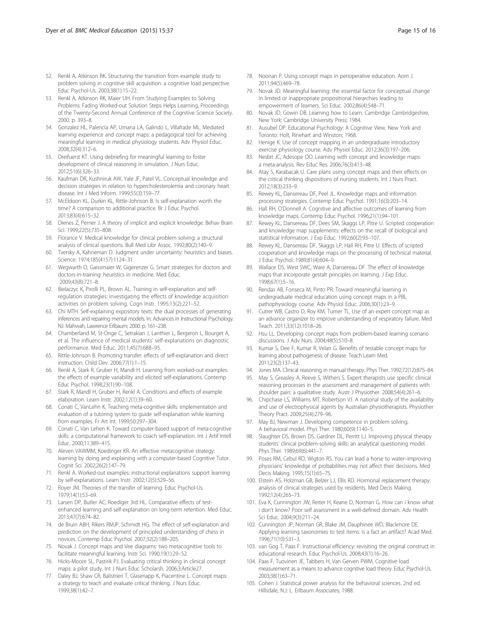- <span id="page-14-0"></span>52. Renkl A, Atkinson RK. Structuring the transition from example study to problem solving in cognitive skill acquisition: a cognitive load perspective. Educ Psychol-Us. 2003;38(1):15–22.
- 53. Renkl A, Atkinson RK, Maier UH. From Studying Examples to Solving Problems: Fading Worked-out Solution Steps Helps Learning, Proceedings of the Twenty-Second Annual Conference of the Cognitive Science Society. 2000. p. 393–8.
- 54. Gonzalez HL, Palencia AP, Umana LA, Galindo L, Villafrade ML. Mediated learning experience and concept maps: a pedagogical tool for achieving meaningful learning in medical physiology students. Adv Physiol Educ. 2008;32(4):312–6.
- 55. Dreifuerst KT. Using debriefing for meaningful learning to foster development of clinical reasoning in simulation. J Nurs Educ. 2012;51(6):326–33.
- 56. Kaufman DR, Kushniruk AW, Yale JF, Patel VL. Conceptual knowledge and decision strategies in relation to hypercholesterolemia and coronary heart disease. Int J Med Inform. 1999;55(3):159–77.
- 57. McEldoon KL, Durkin KL, Rittle-Johnson B. Is self-explanation worth the time? A comparison to additional practice. Br J Educ Psychol. 2013;83(4):615–32.
- 58. Dienes Z, Perner J. A theory of implicit and explicit knowledge. Behav Brain Sci. 1999;22(5):735–808.
- 59. Florance V. Medical knowledge for clinical problem solving: a structural analysis of clinical questions. Bull Med Libr Assoc. 1992;80(2):140–9.
- 60. Tversky A, Kahneman D. Judgment under uncertainty: heuristics and biases. Science. 1974;185(4157):1124–31.
- 61. Wegwarth O, Gaissmaier W, Gigerenzer G. Smart strategies for doctors and doctors-in-training: heuristics in medicine. Med Educ. 2009;43(8):721–8.
- 62. Bielaczyc K, Pirolli PL, Brown AL. Training in self-explanation and selfregulation strategies: investigating the effects of knowledge acquisition activities on problem solving. Cogn Instr. 1995;13(2):221–52.
- 63. Chi MTH. Self-explaining expository texts: the dual processes of generating inferences and repairing mental models. In: Advances in Instructional Psychology. NJ: Mahwah, Lawrence Erlbaum; 2000. p. 161–238.
- 64. Chamberland M, St-Onge C, Setrakian J, Lanthier L, Bergeron L, Bourget A, et al. The influence of medical students' self-explanations on diagnostic performance. Med Educ. 2011;45(7):688–95.
- 65. Rittle-Johnson B. Promoting transfer: effects of self-explanation and direct instruction. Child Dev. 2006;77(1):1–15.
- 66. Renkl A, Stark R, Gruber H, Mandl H. Learning from worked-out examples: the effects of example variability and elicited self-explanations. Contemp Educ Psychol. 1998;23(1):90–108.
- 67. Stark R, Mandl H, Gruber H, Renkl A. Conditions and effects of example elaboration. Learn Instr. 2002;12(1):39–60.
- 68. Conati C, VanLehn K. Teaching meta-cognitive skills: implementation and evaluation of a tutoring system to guide self-explanation while learning from examples. Fr Art Int. 1999;50:297–304.
- 69. Conati C, Van Lehen K. Toward computer-based support of meta-cognitive skills: a computational framework to coach self-explanation. Int J Artif Intell Educ. 2000;11:389–415.
- 70. Aleven VAWMM, Koedinger KR. An effective metacognitive strategy: learning by doing and explaining with a computer-based Cognitive Tutor. Cognit Sci. 2002;26(2):147–79.
- 71. Renkl A. Worked-out examples: instructional explanations support learning by self-explanations. Learn Instr. 2002;12(5):529–56.
- 72. Royer JM. Theories of the transfer of learning. Educ Psychol-Us. 1979;14(1):53–69.
- 73. Larsen DP, Butler AC, Roediger 3rd HL. Comparative effects of testenhanced learning and self-explanation on long-term retention. Med Educ. 2013;47(7):674–82.
- 74. de Bruin ABH, Rikers RMJP, Schmidt HG. The effect of self-explanation and prediction on the development of principled understanding of chess in novices. Contemp Educ Psychol. 2007;32(2):188–205.
- 75. Novak J. Concept maps and Vee diagrams: two metacognitive tools to facilitate meaningful learning. Instr Sci. 1990;19(1):29–52.
- 76. Hicks-Moore SL, Pastirik PJ. Evaluating critical thinking in clinical concept maps: a pilot study. Int J Nurs Educ Scholarsh. 2006;3:Article27.
- 77. Daley BJ, Shaw CR, Balistrieri T, Glasenapp K, Piacentine L. Concept maps: a strategy to teach and evaluate critical thinking. J Nurs Educ. 1999;38(1):42–7.
- 78. Noonan P. Using concept maps in perioperative education. Aorn J. 2011;94(5):469–78.
- 79. Novak JD. Meaningful learning: the essential factor for conceptual change in limited or inappropriate propositional hierarchies leading to empowerment of learners. Sci Educ. 2002;86(4):548–71.
- 80. Novak JD, Gowin DB. Learning how to Learn. Cambridge Cambridgeshire, New York: Cambridge University Press; 1984.
- 81. Ausubel DP. Educational Psychology: A Cognitive View. New York and Toronto: Holt, Rinehart and Winston; 1968.
- 82. Henige K. Use of concept mapping in an undergraduate introductory exercise physiology course. Adv Physiol Educ. 2012;36(3):197–206.
- 83. Nesbit JC, Adesope OO. Learning with concept and knowledge maps: a meta-analysis. Rev Educ Res. 2006;76(3):413–48.
- 84. Atay S, Karabacak U. Care plans using concept maps and their effects on the critical thinking dispositions of nursing students. Int J Nurs Pract. 2012;18(3):233–9.
- 85. Rewey KL, Dansereau DF, Peel JL. Knowledge maps and information processing strategies. Contemp Educ Psychol. 1991;16(3):203–14.
- Hall RH, O'Donnell A. Cognitive and affective outcomes of learning from knowledge maps. Contemp Educ Psychol. 1996;21(1):94–101.
- 87. Rewey KL, Dansereau DF, Dees SM, Skaggs LP, Pitre U. Scripted cooperation and knowledge map supplements: effects on the recall of biological and statistical information. J Exp Educ. 1992;60(2):93–107.
- 88. Rewey KL, Dansereau DF, Skaggs LP, Hall RH, Pitre U. Effects of scripted cooperation and knowledge maps on the processing of technical material. J Educ Psychol. 1989;81(4):604–9.
- 89. Wallace DS, West SWC, Ware A, Dansereau DF. The effect of knowledge maps that incorporate gestalt principles on learning. J Exp Educ. 1998;67(1):5–16.
- 90. Rendas AB, Fonseca M, Pinto PR. Toward meaningful learning in undergraduate medical education using concept maps in a PBL pathophysiology course. Adv Physiol Educ. 2006;30(1):23–9.
- 91. Cutrer WB, Castro D, Roy KM, Turner TL. Use of an expert concept map as an advance organizer to improve understanding of respiratory failure. Med Teach. 2011;33(12):1018–26.
- 92. Hsu LL. Developing concept maps from problem-based learning scenario discussions. J Adv Nurs. 2004;48(5):510–8.
- 93. Kumar S, Dee F, Kumar R, Velan G. Benefits of testable concept maps for learning about pathogenesis of disease. Teach Learn Med. 2011;23(2):137–43.
- 94. Jones MA. Clinical reasoning in manual therapy. Phys Ther. 1992;72(12):875–84.
- 95. May S, Greasley A, Reeve S, Withers S. Expert therapists use specific clinical reasoning processes in the assessment and management of patients with shoulder pain: a qualitative study. Austr J Physiother. 2008;54(4):261–6.
- 96. Chipchase LS, Williams MT, Robertson VJ. A national study of the availability and use of electrophysical agents by Australian physiotherapists. Physiother Theory Pract. 2009;25(4):279–96.
- 97. May BJ, Newman J. Developing competence in problem solving. A behavioral model. Phys Ther. 1980;60(9):1140–5.
- Slaughter DS, Brown DS, Gardner DL, Perritt LJ. Improving physical therapy students' clinical problem-solving skills: an analytical questioning model. Phys Ther. 1989;69(6):441–7.
- 99. Poses RM, Cebul RD, Wigton RS. You can lead a horse to water–improving physicians' knowledge of probabilities may not affect their decisions. Med Decis Making. 1995;15(1):65–75.
- 100. Elstein AS, Holzman GB, Belzer LJ, Ellis RD. Hormonal replacement therapy: analysis of clinical strategies used by residents. Med Decis Making. 1992;12(4):265–73.
- 101. Eva K, Cunnington JW, Reiter H, Keane D, Norman G. How can i know what i don't know? Poor self assessment in a well-defined domain. Adv Health Sci Educ. 2004;9(3):211–24.
- 102. Cunnington JP, Norman GR, Blake JM, Dauphinee WD, Blackmore DE. Applying learning taxonomies to test items: is a fact an artifact? Acad Med. 1996;71(10):S31–3.
- 103. van Gog T, Paas F. Instructional efficiency: revisiting the original construct in educational research. Educ Psychol-Us. 2008;43(1):16–26.
- 104. Paas F, Tuovinen JE, Tabbers H, Van Gerven PWM. Cognitive load measurement as a means to advance cognitive load theory. Educ Psychol-Us. 2003;38(1):63–71.
- 105. Cohen J. Statistical power analysis for the behavioral sciences. 2nd ed. Hillsdale, N.J: L. Erlbaum Associates; 1988.